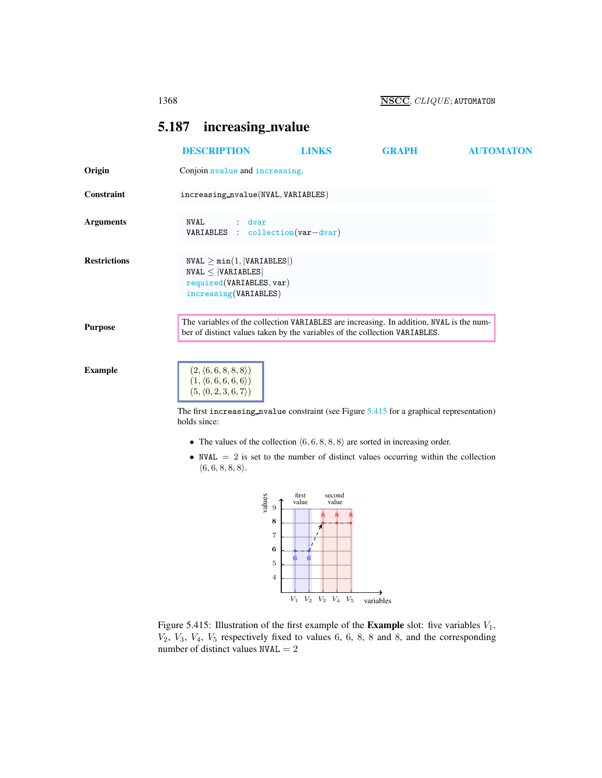1368 NSCC, CLIQUE; AUTOMATON

# <span id="page-0-2"></span><span id="page-0-0"></span>5.187 increasing\_nvalue

|                     | <b>DESCRIPTION</b>                                                                                                                                                                                                                                                                                                                                                                                                                                                        | <b>LINKS</b>                      | <b>GRAPH</b> | <b>AUTOMATON</b> |
|---------------------|---------------------------------------------------------------------------------------------------------------------------------------------------------------------------------------------------------------------------------------------------------------------------------------------------------------------------------------------------------------------------------------------------------------------------------------------------------------------------|-----------------------------------|--------------|------------------|
| Origin              | Conjoin nvalue and increasing.                                                                                                                                                                                                                                                                                                                                                                                                                                            |                                   |              |                  |
| Constraint          | increasing_nvalue(NVAL, VARIABLES)                                                                                                                                                                                                                                                                                                                                                                                                                                        |                                   |              |                  |
| <b>Arguments</b>    | NVAL<br>dvar<br>VARIABLES : collection (var-dvar)                                                                                                                                                                                                                                                                                                                                                                                                                         |                                   |              |                  |
| <b>Restrictions</b> | $NVAL \geq min(1,  VARIABLES )$<br>$NVAL \leq  VARIABLES $<br>required(VARIABLES, var)<br>increasing (VARIABLES)                                                                                                                                                                                                                                                                                                                                                          |                                   |              |                  |
| <b>Purpose</b>      | The variables of the collection VARIABLES are increasing. In addition, NVAL is the num-<br>ber of distinct values taken by the variables of the collection VARIABLES.                                                                                                                                                                                                                                                                                                     |                                   |              |                  |
| <b>Example</b>      | $\begin{array}{c} (2, \langle 6, 6, 8, 8, 8 \rangle ) \\ (1, \langle 6, 6, 6, 6, 6 \rangle ) \\ (5, \langle 0, 2, 3, 6, 7 \rangle ) \end{array}$<br>The first increasing nualue constraint (see Figure $5.415$ for a graphical representation)<br>holds since:<br>• The values of the collection $(6, 6, 8, 8, 8)$ are sorted in increasing order.<br>• NVAL $= 2$ is set to the number of distinct values occurring within the collection<br>$\langle 6,6,8,8,8\rangle.$ |                                   |              |                  |
|                     | values<br>9                                                                                                                                                                                                                                                                                                                                                                                                                                                               | first<br>second<br>value<br>value |              |                  |



<span id="page-0-1"></span>Figure 5.415: Illustration of the first example of the **Example** slot: five variables  $V_1$ ,  $V_2$ ,  $V_3$ ,  $V_4$ ,  $V_5$  respectively fixed to values 6, 6, 8, 8 and 8, and the corresponding number of distinct values  $NVAL = 2$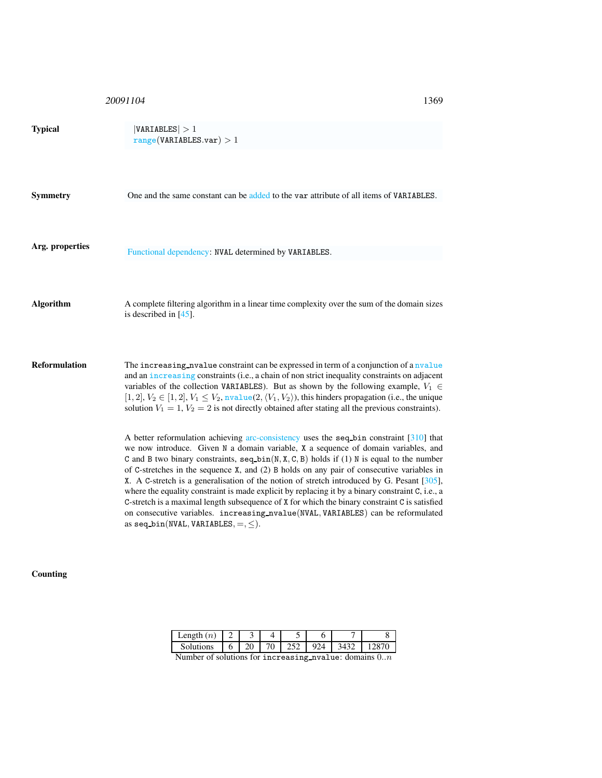20091104

| ٠<br>۰. | ۰.<br>۰. |  |
|---------|----------|--|

| <b>Typical</b>       | VARIABLES  > 1<br>range(VARIABLES.var) > 1                                                                                                                                                                                                                                                                                                                                                                                                                                                                                                                                                                                                                                                                                                                                                                                                                                                                                                                                                                                                                                                                                                                                                                        |
|----------------------|-------------------------------------------------------------------------------------------------------------------------------------------------------------------------------------------------------------------------------------------------------------------------------------------------------------------------------------------------------------------------------------------------------------------------------------------------------------------------------------------------------------------------------------------------------------------------------------------------------------------------------------------------------------------------------------------------------------------------------------------------------------------------------------------------------------------------------------------------------------------------------------------------------------------------------------------------------------------------------------------------------------------------------------------------------------------------------------------------------------------------------------------------------------------------------------------------------------------|
| <b>Symmetry</b>      | One and the same constant can be added to the var attribute of all items of VARIABLES.                                                                                                                                                                                                                                                                                                                                                                                                                                                                                                                                                                                                                                                                                                                                                                                                                                                                                                                                                                                                                                                                                                                            |
| Arg. properties      | Functional dependency: NVAL determined by VARIABLES.                                                                                                                                                                                                                                                                                                                                                                                                                                                                                                                                                                                                                                                                                                                                                                                                                                                                                                                                                                                                                                                                                                                                                              |
| <b>Algorithm</b>     | A complete filtering algorithm in a linear time complexity over the sum of the domain sizes<br>is described in $[45]$ .                                                                                                                                                                                                                                                                                                                                                                                                                                                                                                                                                                                                                                                                                                                                                                                                                                                                                                                                                                                                                                                                                           |
| <b>Reformulation</b> | The increasing nualue constraint can be expressed in term of a conjunction of a nualue<br>and an increasing constraints (i.e., a chain of non strict inequality constraints on adjacent<br>variables of the collection VARIABLES). But as shown by the following example, $V_1 \in$<br>[1, 2], $V_2 \in [1, 2]$ , $V_1 \leq V_2$ , nvalue(2, $\langle V_1, V_2 \rangle$ ), this hinders propagation (i.e., the unique<br>solution $V_1 = 1$ , $V_2 = 2$ is not directly obtained after stating all the previous constraints).<br>A better reformulation achieving arc-consistency uses the seq-bin constraint [310] that<br>we now introduce. Given N a domain variable, X a sequence of domain variables, and<br>C and B two binary constraints, $seq\_bin(N, X, C, B)$ holds if (1) N is equal to the number<br>of C-stretches in the sequence $X$ , and (2) B holds on any pair of consecutive variables in<br>X. A C-stretch is a generalisation of the notion of stretch introduced by G. Pesant [305],<br>where the equality constraint is made explicit by replacing it by a binary constraint C, i.e., a<br>C-stretch is a maximal length subsequence of X for which the binary constraint C is satisfied |
|                      | on consecutive variables. increasing_nvalue(NVAL, VARIABLES) can be reformulated<br>as $seq\_bin($ NVAL, VARIABLES, $=$ , $\leq$ ).                                                                                                                                                                                                                                                                                                                                                                                                                                                                                                                                                                                                                                                                                                                                                                                                                                                                                                                                                                                                                                                                               |

## Counting

| $\text{Length}(n)$ |    |   |  |  |
|--------------------|----|---|--|--|
| Solutions          | 20 | ν |  |  |

Number of solutions for increasing nvalue: domains  $0..n$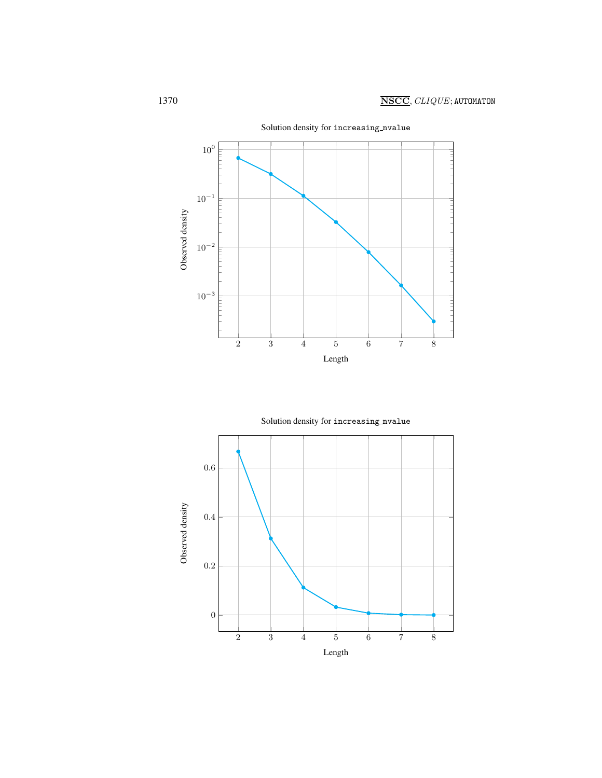



Solution density for increasing\_nvalue

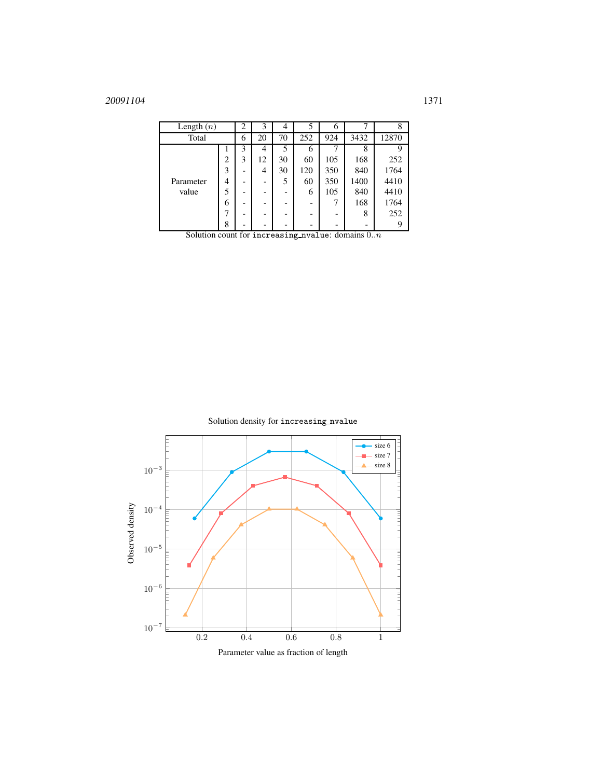# <sup>20091104</sup> 1371

| Length $(n)$       |   | 2 | 3  | 4  | 5   | 6   |      |       |
|--------------------|---|---|----|----|-----|-----|------|-------|
| Total              |   | 6 | 20 | 70 | 252 | 924 | 3432 | 12870 |
|                    |   | 3 | 4  | 5  | 6   |     | 8    | q     |
| Parameter<br>value | 2 | 3 | 12 | 30 | 60  | 105 | 168  | 252   |
|                    | 3 |   | 4  | 30 | 120 | 350 | 840  | 1764  |
|                    | 4 |   |    | 5  | 60  | 350 | 1400 | 4410  |
|                    | 5 |   |    |    | 6   | 105 | 840  | 4410  |
|                    | 6 |   |    |    |     |     | 168  | 1764  |
|                    |   |   |    |    |     |     | 8    | 252   |
|                    | 8 |   |    |    |     |     |      |       |

Solution count for increasing nvalue: domains  $0..n$ 

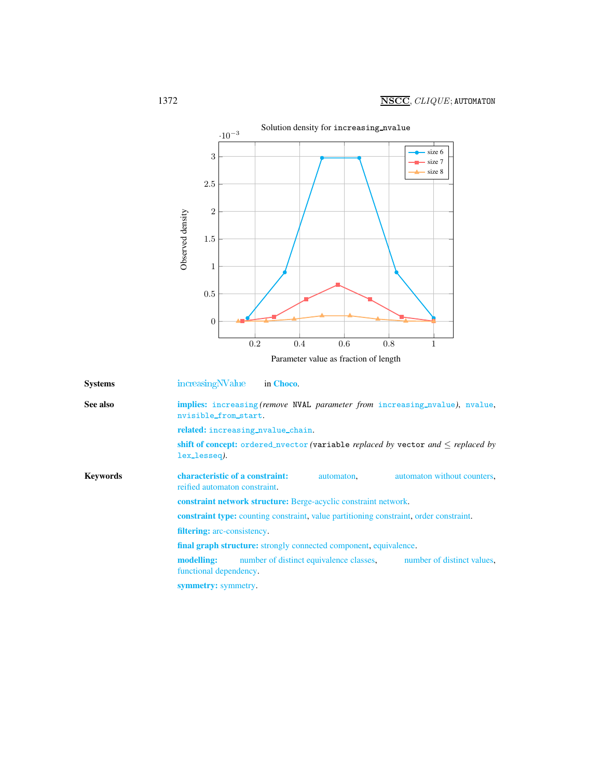

<span id="page-4-0"></span>

| <b>Systems</b>  | increasing NValue<br>in Choco.                                                                                |  |  |  |  |  |
|-----------------|---------------------------------------------------------------------------------------------------------------|--|--|--|--|--|
| See also        | implies: increasing (remove NVAL parameter from increasing nvalue), nvalue,<br>nvisible_from_start.           |  |  |  |  |  |
|                 | related: increasing_nvalue_chain.                                                                             |  |  |  |  |  |
|                 | shift of concept: ordered_nvector (variable replaced by vector and $\leq$ replaced by<br>lex_lesseq).         |  |  |  |  |  |
| <b>Keywords</b> | characteristic of a constraint:<br>automaton without counters,<br>automaton.<br>reified automaton constraint. |  |  |  |  |  |
|                 | constraint network structure: Berge-acyclic constraint network.                                               |  |  |  |  |  |
|                 | <b>constraint type:</b> counting constraint, value partitioning constraint, order constraint.                 |  |  |  |  |  |
|                 | <b>filtering:</b> arc-consistency.                                                                            |  |  |  |  |  |
|                 | final graph structure: strongly connected component, equivalence.                                             |  |  |  |  |  |
|                 | number of distinct equivalence classes,<br>number of distinct values,<br>modelling:<br>functional dependency. |  |  |  |  |  |
|                 | symmetry: symmetry.                                                                                           |  |  |  |  |  |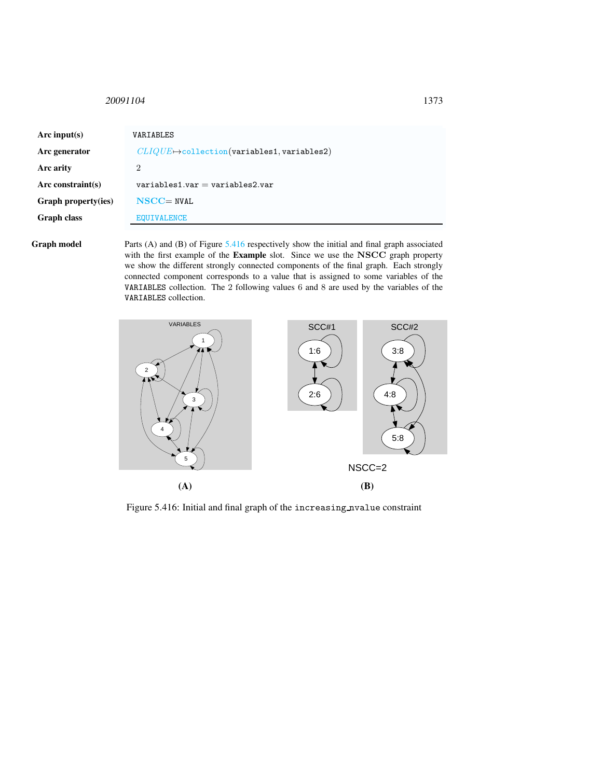### <span id="page-5-0"></span><sup>20091104</sup> 1373

| Arc input(s)         | VARIABLES                                               |
|----------------------|---------------------------------------------------------|
| Arc generator        | $CLIQUE \rightarrow$ collection(variables1, variables2) |
| Arc arity            | $\overline{2}$                                          |
| Arc constraint $(s)$ | $variable$ s1.var = variables2.var                      |
| Graph property(ies)  | $NSCC = NVAL$                                           |
| <b>Graph class</b>   | <b>EQUIVALENCE</b>                                      |
|                      |                                                         |

Graph model Parts (A) and (B) of Figure [5.416](#page-5-1) respectively show the initial and final graph associated with the first example of the Example slot. Since we use the NSCC graph property we show the different strongly connected components of the final graph. Each strongly connected component corresponds to a value that is assigned to some variables of the VARIABLES collection. The 2 following values 6 and 8 are used by the variables of the VARIABLES collection.



<span id="page-5-1"></span>Figure 5.416: Initial and final graph of the increasing nvalue constraint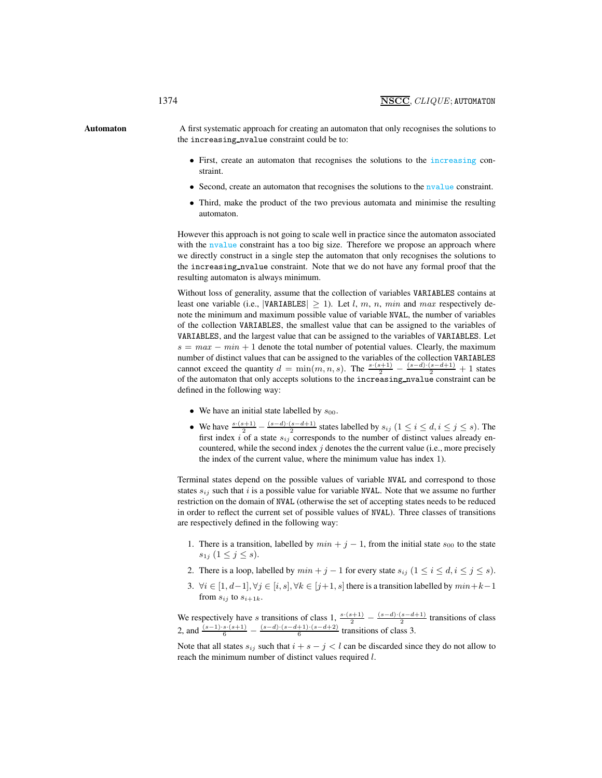Automaton A first systematic approach for creating an automaton that only recognises the solutions to the increasing nvalue constraint could be to:

- <span id="page-6-0"></span>• First, create an automaton that recognises the solutions to the increasing constraint.
- Second, create an automaton that recognises the solutions to the nyalue constraint.
- Third, make the product of the two previous automata and minimise the resulting automaton.

However this approach is not going to scale well in practice since the automaton associated with the nvalue constraint has a too big size. Therefore we propose an approach where we directly construct in a single step the automaton that only recognises the solutions to the increasing nvalue constraint. Note that we do not have any formal proof that the resulting automaton is always minimum.

Without loss of generality, assume that the collection of variables VARIABLES contains at least one variable (i.e., |VARIABLES|  $\geq$  1). Let l, m, n, min and max respectively denote the minimum and maximum possible value of variable NVAL, the number of variables of the collection VARIABLES, the smallest value that can be assigned to the variables of VARIABLES, and the largest value that can be assigned to the variables of VARIABLES. Let  $s = max - min + 1$  denote the total number of potential values. Clearly, the maximum number of distinct values that can be assigned to the variables of the collection VARIABLES cannot exceed the quantity  $d = \min(m, n, s)$ . The  $\frac{s \cdot (s+1)}{2} - \frac{(s-d) \cdot (s-d+1)}{2} + 1$  states of the automaton that only accepts solutions to the increasing nvalue constraint can be defined in the following way:

- We have an initial state labelled by  $s_{00}$ .
- We have  $\frac{s \cdot (s+1)}{2} \frac{(s-d) \cdot (s-d+1)}{2}$  states labelled by  $s_{ij}$   $(1 \le i \le d, i \le j \le s)$ . The first index i of a state  $s_{ij}$  corresponds to the number of distinct values already encountered, while the second index  $j$  denotes the the current value (i.e., more precisely the index of the current value, where the minimum value has index 1).

Terminal states depend on the possible values of variable NVAL and correspond to those states  $s_{ij}$  such that i is a possible value for variable NVAL. Note that we assume no further restriction on the domain of NVAL (otherwise the set of accepting states needs to be reduced in order to reflect the current set of possible values of NVAL). Three classes of transitions are respectively defined in the following way:

- 1. There is a transition, labelled by  $min + j 1$ , from the initial state  $s_{00}$  to the state  $s_{1j}$   $(1 \leq j \leq s).$
- 2. There is a loop, labelled by  $min + j 1$  for every state  $s_{ij}$   $(1 \le i \le d, i \le j \le s)$ .
- 3.  $\forall i \in [1, d-1], \forall j \in [i, s], \forall k \in [j+1, s]$  there is a transition labelled by  $min+k-1$ from  $s_{ij}$  to  $s_{i+1k}$ .

We respectively have s transitions of class 1,  $\frac{s \cdot (s+1)}{2} - \frac{(s-d) \cdot (s-d+1)}{2}$  transitions of class 2, and  $\frac{(s-1)\cdot s\cdot(s+1)}{6} - \frac{(s-d)\cdot(s-d+1)\cdot(s-d+2)}{6}$  transitions of class 3.

Note that all states  $s_{ij}$  such that  $i + s - j < l$  can be discarded since they do not allow to reach the minimum number of distinct values required l.